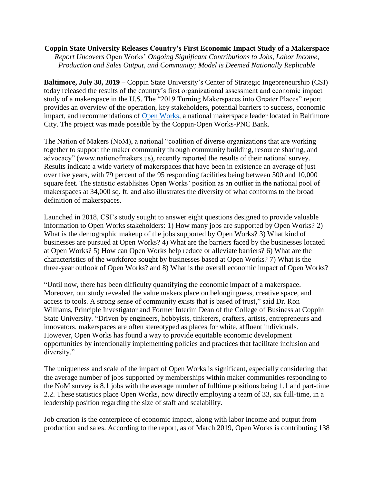## **Coppin State University Releases Country's First Economic Impact Study of a Makerspace**

*Report Uncovers* Open Works' *Ongoing Significant Contributions to Jobs, Labor Income, Production and Sales Output, and Community; Model is Deemed Nationally Replicable*

**Baltimore, July 30, 2019 –** Coppin State University's Center of Strategic Ingepreneurship (CSI) today released the results of the country's first organizational assessment and economic impact study of a makerspace in the U.S. The "2019 Turning Makerspaces into Greater Places" report provides an overview of the operation, key stakeholders, potential barriers to success, economic impact, and recommendations of [Open Works,](http://www.openworksbmore.com/) a national makerspace leader located in Baltimore City. The project was made possible by the Coppin-Open Works-PNC Bank.

The Nation of Makers (NoM), a national "coalition of diverse organizations that are working together to support the maker community through community building, resource sharing, and advocacy" (www.nationofmakers.us), recently reported the results of their national survey. Results indicate a wide variety of makerspaces that have been in existence an average of just over five years, with 79 percent of the 95 responding facilities being between 500 and 10,000 square feet. The statistic establishes Open Works' position as an outlier in the national pool of makerspaces at 34,000 sq. ft. and also illustrates the diversity of what conforms to the broad definition of makerspaces.

Launched in 2018, CSI's study sought to answer eight questions designed to provide valuable information to Open Works stakeholders: 1) How many jobs are supported by Open Works? 2) What is the demographic makeup of the jobs supported by Open Works? 3) What kind of businesses are pursued at Open Works? 4) What are the barriers faced by the businesses located at Open Works? 5) How can Open Works help reduce or alleviate barriers? 6) What are the characteristics of the workforce sought by businesses based at Open Works? 7) What is the three-year outlook of Open Works? and 8) What is the overall economic impact of Open Works?

"Until now, there has been difficulty quantifying the economic impact of a makerspace. Moreover, our study revealed the value makers place on belongingness, creative space, and access to tools. A strong sense of community exists that is based of trust," said Dr. Ron Williams, Principle Investigator and Former Interim Dean of the College of Business at Coppin State University. "Driven by engineers, hobbyists, tinkerers, crafters, artists, entrepreneurs and innovators, makerspaces are often stereotyped as places for white, affluent individuals. However, Open Works has found a way to provide equitable economic development opportunities by intentionally implementing policies and practices that facilitate inclusion and diversity."

The uniqueness and scale of the impact of Open Works is significant, especially considering that the average number of jobs supported by memberships within maker communities responding to the NoM survey is 8.1 jobs with the average number of fulltime positions being 1.1 and part-time 2.2. These statistics place Open Works, now directly employing a team of 33, six full-time, in a leadership position regarding the size of staff and scalability.

Job creation is the centerpiece of economic impact, along with labor income and output from production and sales. According to the report, as of March 2019, Open Works is contributing 138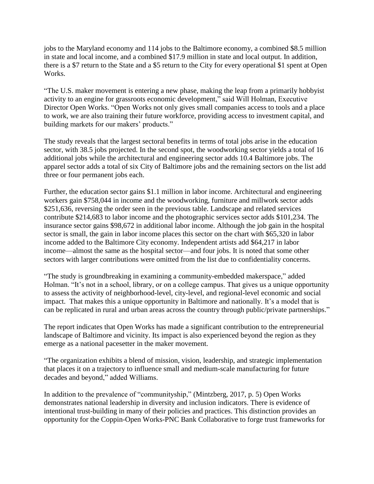jobs to the Maryland economy and 114 jobs to the Baltimore economy, a combined \$8.5 million in state and local income, and a combined \$17.9 million in state and local output. In addition, there is a \$7 return to the State and a \$5 return to the City for every operational \$1 spent at Open Works.

"The U.S. maker movement is entering a new phase, making the leap from a primarily hobbyist activity to an engine for grassroots economic development," said Will Holman, Executive Director Open Works. "Open Works not only gives small companies access to tools and a place to work, we are also training their future workforce, providing access to investment capital, and building markets for our makers' products."

The study reveals that the largest sectoral benefits in terms of total jobs arise in the education sector, with 38.5 jobs projected. In the second spot, the woodworking sector yields a total of 16 additional jobs while the architectural and engineering sector adds 10.4 Baltimore jobs. The apparel sector adds a total of six City of Baltimore jobs and the remaining sectors on the list add three or four permanent jobs each.

Further, the education sector gains \$1.1 million in labor income. Architectural and engineering workers gain \$758,044 in income and the woodworking, furniture and millwork sector adds \$251,636, reversing the order seen in the previous table. Landscape and related services contribute \$214,683 to labor income and the photographic services sector adds \$101,234. The insurance sector gains \$98,672 in additional labor income. Although the job gain in the hospital sector is small, the gain in labor income places this sector on the chart with \$65,320 in labor income added to the Baltimore City economy. Independent artists add \$64,217 in labor income—almost the same as the hospital sector—and four jobs. It is noted that some other sectors with larger contributions were omitted from the list due to confidentiality concerns.

"The study is groundbreaking in examining a community-embedded makerspace," added Holman. "It's not in a school, library, or on a college campus. That gives us a unique opportunity to assess the activity of neighborhood-level, city-level, and regional-level economic and social impact. That makes this a unique opportunity in Baltimore and nationally. It's a model that is can be replicated in rural and urban areas across the country through public/private partnerships."

The report indicates that Open Works has made a significant contribution to the entrepreneurial landscape of Baltimore and vicinity. Its impact is also experienced beyond the region as they emerge as a national pacesetter in the maker movement.

"The organization exhibits a blend of mission, vision, leadership, and strategic implementation that places it on a trajectory to influence small and medium-scale manufacturing for future decades and beyond," added Williams.

In addition to the prevalence of "communityship," (Mintzberg, 2017, p. 5) Open Works demonstrates national leadership in diversity and inclusion indicators. There is evidence of intentional trust-building in many of their policies and practices. This distinction provides an opportunity for the Coppin-Open Works-PNC Bank Collaborative to forge trust frameworks for